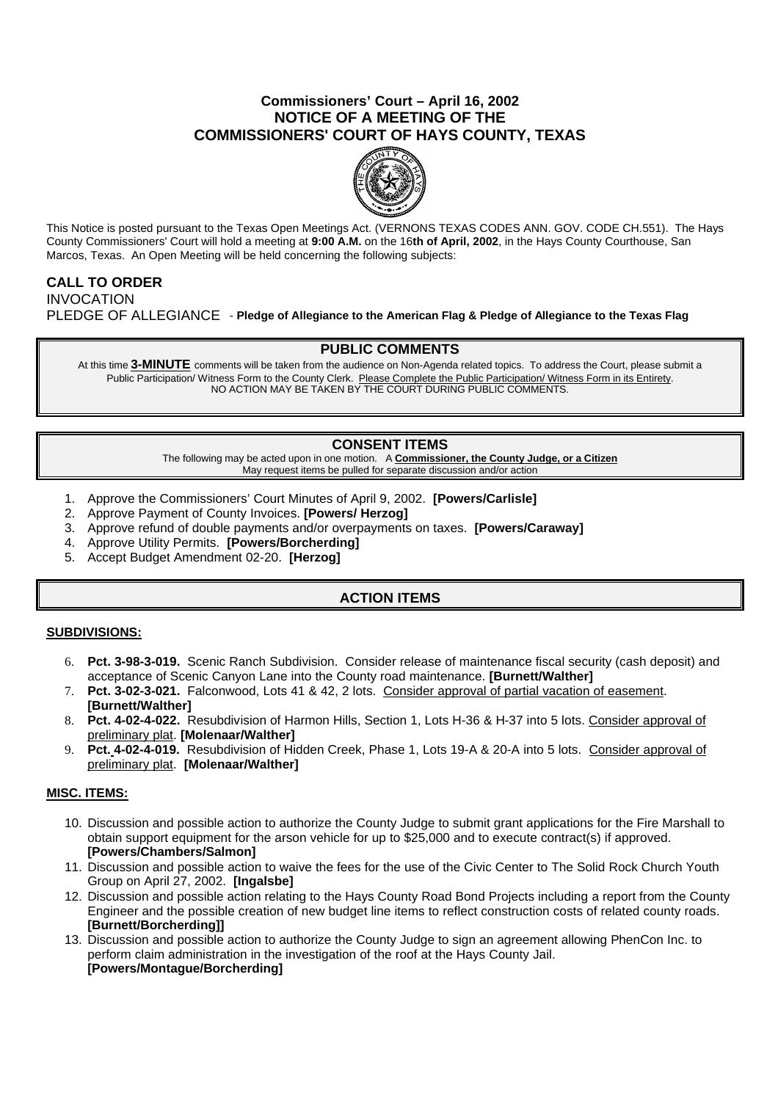## **Commissioners' Court – April 16, 2002 NOTICE OF A MEETING OF THE COMMISSIONERS' COURT OF HAYS COUNTY, TEXAS**



This Notice is posted pursuant to the Texas Open Meetings Act. (VERNONS TEXAS CODES ANN. GOV. CODE CH.551). The Hays County Commissioners' Court will hold a meeting at **9:00 A.M.** on the 16**th of April, 2002**, in the Hays County Courthouse, San Marcos, Texas. An Open Meeting will be held concerning the following subjects:

# **CALL TO ORDER**

INVOCATION PLEDGE OF ALLEGIANCE - **Pledge of Allegiance to the American Flag & Pledge of Allegiance to the Texas Flag**

### **PUBLIC COMMENTS**

At this time **3-MINUTE** comments will be taken from the audience on Non-Agenda related topics. To address the Court, please submit a Public Participation/ Witness Form to the County Clerk. Please Complete the Public Participation/ Witness Form in its Entirety. NO ACTION MAY BE TAKEN BY THE COURT DURING PUBLIC COMMENTS.

## **CONSENT ITEMS**

The following may be acted upon in one motion. A **Commissioner, the County Judge, or a Citizen** May request items be pulled for separate discussion and/or action

- 1. Approve the Commissioners' Court Minutes of April 9, 2002. **[Powers/Carlisle]**
- 2. Approve Payment of County Invoices. **[Powers/ Herzog]**
- 3. Approve refund of double payments and/or overpayments on taxes. **[Powers/Caraway]**
- 4. Approve Utility Permits. **[Powers/Borcherding]**
- 5. Accept Budget Amendment 02-20. **[Herzog]**

### **ACTION ITEMS**

### **SUBDIVISIONS:**

- 6. **Pct. 3-98-3-019.** Scenic Ranch Subdivision. Consider release of maintenance fiscal security (cash deposit) and acceptance of Scenic Canyon Lane into the County road maintenance. **[Burnett/Walther]**
- 7. **Pct. 3-02-3-021.** Falconwood, Lots 41 & 42, 2 lots. Consider approval of partial vacation of easement. **[Burnett/Walther]**
- 8. **Pct. 4-02-4-022.** Resubdivision of Harmon Hills, Section 1, Lots H-36 & H-37 into 5 lots. Consider approval of preliminary plat. **[Molenaar/Walther]**
- 9. **Pct. 4-02-4-019.** Resubdivision of Hidden Creek, Phase 1, Lots 19-A & 20-A into 5 lots. Consider approval of preliminary plat. **[Molenaar/Walther]**

### **MISC. ITEMS:**

- 10. Discussion and possible action to authorize the County Judge to submit grant applications for the Fire Marshall to obtain support equipment for the arson vehicle for up to \$25,000 and to execute contract(s) if approved. **[Powers/Chambers/Salmon]**
- 11. Discussion and possible action to waive the fees for the use of the Civic Center to The Solid Rock Church Youth Group on April 27, 2002. **[Ingalsbe]**
- 12. Discussion and possible action relating to the Hays County Road Bond Projects including a report from the County Engineer and the possible creation of new budget line items to reflect construction costs of related county roads. **[Burnett/Borcherding]]**
- 13. Discussion and possible action to authorize the County Judge to sign an agreement allowing PhenCon Inc. to perform claim administration in the investigation of the roof at the Hays County Jail. **[Powers/Montague/Borcherding]**